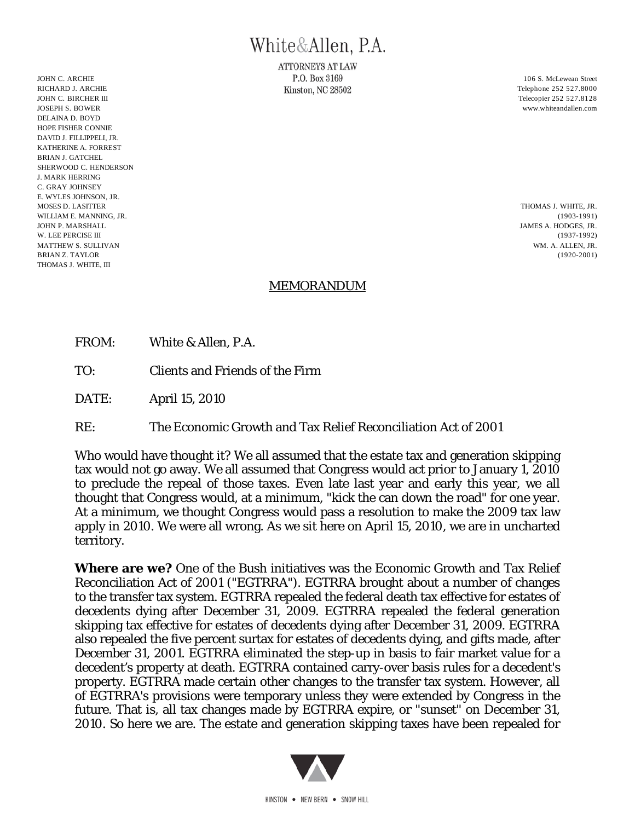## White&Allen, P.A.

**ATTORNEYS AT LAW** JOHN C. ARCHIE 2006 S. McLewean Street 2006 S. McLewean Street 2006 S. McLewean Street

RICHARD J. ARCHIE **RICHARD J. ARCHIE RICHARD J. ARCHIE Telephone 252 527.8000** JOHN C. BIRCHER III Telecopier 252 527.8128 JOSEPH S. BOWER www.whiteandallen.com DELAINA D. BOYD HOPE FISHER CONNIE DAVID J. FILLIPPELI, JR. KATHERINE A. FORREST BRIAN I. GATCHEL SHERWOOD C. HENDERSON J. MARK HERRING C. GRAY JOHNSEY E. WYLES JOHNSON, JR. MOSES D. LASITTER THOMAS J. WHITE, JR. THOMAS J. WHITE, JR. THOMAS J. WHITE, JR. THOMAS J. WHITE, JR. THOMAS J. WHITE, JR. THOMAS J. WHITE, JR. THOMAS J. WHITE, JR. THOMAS J. WHITE, JR. THOMAS J. WHITE, JR. THOMAS J. WHITE WILLIAM E. MANNING, JR. (1903-1991) JOHN P. MARSHALL JAMES A. HODGES. JR. JAMES A. HODGES. JR. JAMES A. HODGES. JR. JAMES A. HODGES. JR. JAMES A. HODGES. JR. J W. LEE PERCISE III (1937-1992) MATTHEW S. SULLIVAN WM. A. ALLEN, JR. BRIAN Z. TAYLOR (1920-2001) THOMAS J. WHITE, III

## MEMORANDUM

- FROM: White & Allen, P.A.
- TO: Clients and Friends of the Firm
- DATE: April 15, 2010
- RE: The Economic Growth and Tax Relief Reconciliation Act of 2001

Who would have thought it? We all assumed that the estate tax and generation skipping tax would not go away. We all assumed that Congress would act prior to January 1, 2010 to preclude the repeal of those taxes. Even late last year and early this year, we all thought that Congress would, at a minimum, "kick the can down the road" for one year. At a minimum, we thought Congress would pass a resolution to make the 2009 tax law apply in 2010. We were all wrong. As we sit here on April 15, 2010, we are in uncharted territory.

**Where are we?** One of the Bush initiatives was the Economic Growth and Tax Relief Reconciliation Act of 2001 ("EGTRRA"). EGTRRA brought about a number of changes to the transfer tax system. EGTRRA repealed the federal death tax effective for estates of decedents dying after December 31, 2009. EGTRRA repealed the federal generation skipping tax effective for estates of decedents dying after December 31, 2009. EGTRRA also repealed the five percent surtax for estates of decedents dying, and gifts made, after December 31, 2001. EGTRRA eliminated the step-up in basis to fair market value for a decedent's property at death. EGTRRA contained carry-over basis rules for a decedent's property. EGTRRA made certain other changes to the transfer tax system. However, all of EGTRRA's provisions were temporary unless they were extended by Congress in the future. That is, all tax changes made by EGTRRA expire, or "sunset" on December 31, 2010. So here we are. The estate and generation skipping taxes have been repealed for

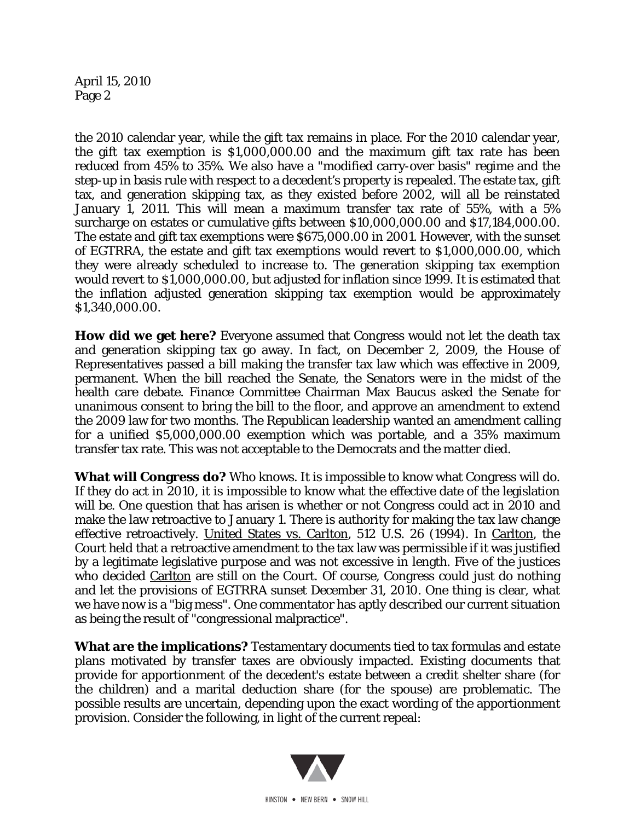April 15, 2010 Page 2

the 2010 calendar year, while the gift tax remains in place. For the 2010 calendar year, the gift tax exemption is \$1,000,000.00 and the maximum gift tax rate has been reduced from 45% to 35%. We also have a "modified carry-over basis" regime and the step-up in basis rule with respect to a decedent's property is repealed. The estate tax, gift tax, and generation skipping tax, as they existed before 2002, will all be reinstated January 1, 2011. This will mean a maximum transfer tax rate of 55%, with a 5% surcharge on estates or cumulative gifts between \$10,000,000.00 and \$17,184,000.00. The estate and gift tax exemptions were \$675,000.00 in 2001. However, with the sunset of EGTRRA, the estate and gift tax exemptions would revert to \$1,000,000.00, which they were already scheduled to increase to. The generation skipping tax exemption would revert to \$1,000,000.00, but adjusted for inflation since 1999. It is estimated that the inflation adjusted generation skipping tax exemption would be approximately \$1,340,000.00.

**How did we get here?** Everyone assumed that Congress would not let the death tax and generation skipping tax go away. In fact, on December 2, 2009, the House of Representatives passed a bill making the transfer tax law which was effective in 2009, permanent. When the bill reached the Senate, the Senators were in the midst of the health care debate. Finance Committee Chairman Max Baucus asked the Senate for unanimous consent to bring the bill to the floor, and approve an amendment to extend the 2009 law for two months. The Republican leadership wanted an amendment calling for a unified \$5,000,000.00 exemption which was portable, and a 35% maximum transfer tax rate. This was not acceptable to the Democrats and the matter died.

**What will Congress do?** Who knows. It is impossible to know what Congress will do. If they do act in 2010, it is impossible to know what the effective date of the legislation will be. One question that has arisen is whether or not Congress could act in 2010 and make the law retroactive to January 1. There is authority for making the tax law change effective retroactively. United States vs. Carlton, 512 U.S. 26 (1994). In Carlton, the Court held that a retroactive amendment to the tax law was permissible if it was justified by a legitimate legislative purpose and was not excessive in length. Five of the justices who decided Carlton are still on the Court. Of course, Congress could just do nothing and let the provisions of EGTRRA sunset December 31, 2010. One thing is clear, what we have now is a "big mess". One commentator has aptly described our current situation as being the result of "congressional malpractice".

**What are the implications?** Testamentary documents tied to tax formulas and estate plans motivated by transfer taxes are obviously impacted. Existing documents that provide for apportionment of the decedent's estate between a credit shelter share (for the children) and a marital deduction share (for the spouse) are problematic. The possible results are uncertain, depending upon the exact wording of the apportionment provision. Consider the following, in light of the current repeal:

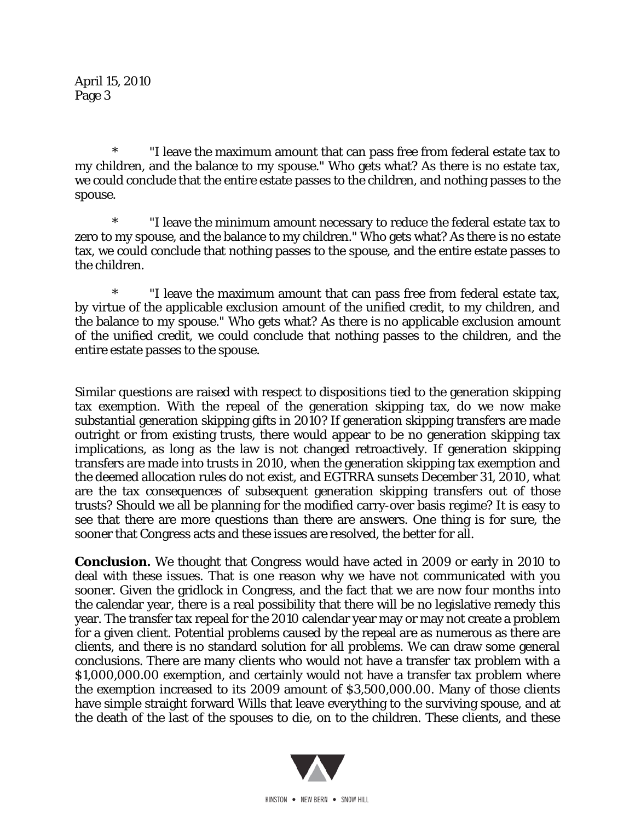\* "I leave the maximum amount that can pass free from federal estate tax to my children, and the balance to my spouse." Who gets what? As there is no estate tax, we could conclude that the entire estate passes to the children, and nothing passes to the spouse.

 \* "I leave the minimum amount necessary to reduce the federal estate tax to zero to my spouse, and the balance to my children." Who gets what? As there is no estate tax, we could conclude that nothing passes to the spouse, and the entire estate passes to the children.

 \* "I leave the maximum amount that can pass free from federal estate tax, by virtue of the applicable exclusion amount of the unified credit, to my children, and the balance to my spouse." Who gets what? As there is no applicable exclusion amount of the unified credit, we could conclude that nothing passes to the children, and the entire estate passes to the spouse.

Similar questions are raised with respect to dispositions tied to the generation skipping tax exemption. With the repeal of the generation skipping tax, do we now make substantial generation skipping gifts in 2010? If generation skipping transfers are made outright or from existing trusts, there would appear to be no generation skipping tax implications, as long as the law is not changed retroactively. If generation skipping transfers are made into trusts in 2010, when the generation skipping tax exemption and the deemed allocation rules do not exist, and EGTRRA sunsets December 31, 2010, what are the tax consequences of subsequent generation skipping transfers out of those trusts? Should we all be planning for the modified carry-over basis regime? It is easy to see that there are more questions than there are answers. One thing is for sure, the sooner that Congress acts and these issues are resolved, the better for all.

**Conclusion.** We thought that Congress would have acted in 2009 or early in 2010 to deal with these issues. That is one reason why we have not communicated with you sooner. Given the gridlock in Congress, and the fact that we are now four months into the calendar year, there is a real possibility that there will be no legislative remedy this year. The transfer tax repeal for the 2010 calendar year may or may not create a problem for a given client. Potential problems caused by the repeal are as numerous as there are clients, and there is no standard solution for all problems. We can draw some general conclusions. There are many clients who would not have a transfer tax problem with a \$1,000,000.00 exemption, and certainly would not have a transfer tax problem where the exemption increased to its 2009 amount of \$3,500,000.00. Many of those clients have simple straight forward Wills that leave everything to the surviving spouse, and at the death of the last of the spouses to die, on to the children. These clients, and these